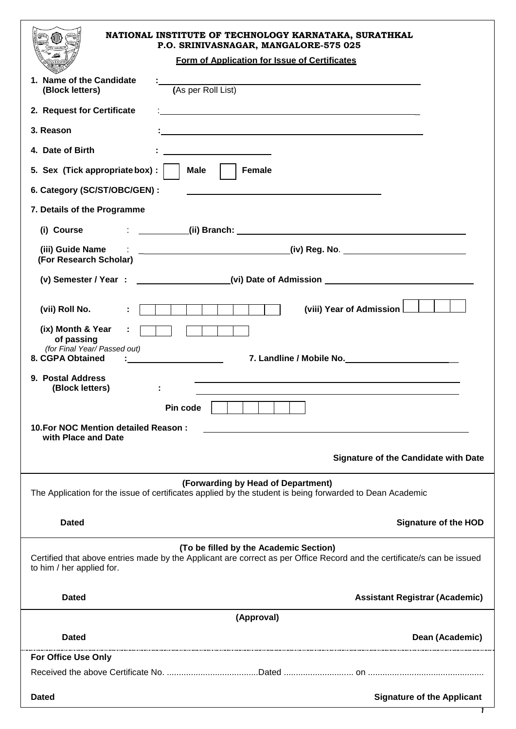| NATIONAL INSTITUTE OF TECHNOLOGY KARNATAKA, SURATHKAL<br>P.O. SRINIVASNAGAR, MANGALORE-575 025<br>Form of Application for Issue of Certificates                                                                                                         |
|---------------------------------------------------------------------------------------------------------------------------------------------------------------------------------------------------------------------------------------------------------|
| 1. Name of the Candidate<br>(As per Roll List)<br>(Block letters)                                                                                                                                                                                       |
| 2. Request for Certificate<br><u> 1989 - Johann John Stone, markin fizik eta idazlearia (h. 1989).</u>                                                                                                                                                  |
| 3. Reason                                                                                                                                                                                                                                               |
| 4. Date of Birth<br><u> 1989 - Johann Barbara, martin amerikan ba</u>                                                                                                                                                                                   |
| <b>Male</b><br><b>Female</b><br>5. Sex (Tick appropriate box) :                                                                                                                                                                                         |
| 6. Category (SC/ST/OBC/GEN) :                                                                                                                                                                                                                           |
| 7. Details of the Programme                                                                                                                                                                                                                             |
| (i) Course (ii) Branch: (ii) Branch: (iii) Branch: (iii) Branch: (iii) Branch: (iii) Branch: (iii) Branch: (iii) Branch: (iii) Branch: (iii) Branch: (iii) Branch: (iii) Branch: (iii) Branch: (iii) Branch: (iii) Branch: (ii                          |
| (iii) Guide Name (iii) 30 and 20 and 20 and 20 and 20 and 20 and 20 and 20 and 20 and 20 and 20 and 20 and 20 and 20 and 20 and 20 and 20 and 20 and 20 and 20 and 20 and 20 and 20 and 20 and 20 and 20 and 20 and 20 and 20<br>(For Research Scholar) |
| (v) Semester / Year : _________________(vi) Date of Admission __________________                                                                                                                                                                        |
| (viii) Year of Admission<br>(vii) Roll No.<br>÷.<br>$\mathcal{L}(\mathcal{A})$                                                                                                                                                                          |
| (ix) Month & Year<br>of passing<br>(for Final Year/ Passed out)                                                                                                                                                                                         |
| 8. CGPA Obtained<br><u> 1980 - Johann Barbara, martin a</u><br>7. Landline / Mobile No.                                                                                                                                                                 |
| 9. Postal Address<br>(Block letters)                                                                                                                                                                                                                    |
| Pin code                                                                                                                                                                                                                                                |
| 10. For NOC Mention detailed Reason:<br>with Place and Date                                                                                                                                                                                             |
| <b>Signature of the Candidate with Date</b>                                                                                                                                                                                                             |
| (Forwarding by Head of Department)<br>The Application for the issue of certificates applied by the student is being forwarded to Dean Academic                                                                                                          |
| <b>Dated</b><br><b>Signature of the HOD</b>                                                                                                                                                                                                             |
| (To be filled by the Academic Section)<br>Certified that above entries made by the Applicant are correct as per Office Record and the certificate/s can be issued<br>to him / her applied for.                                                          |
| <b>Dated</b><br><b>Assistant Registrar (Academic)</b>                                                                                                                                                                                                   |
| (Approval)                                                                                                                                                                                                                                              |
| <b>Dated</b><br>Dean (Academic)                                                                                                                                                                                                                         |
| <b>For Office Use Only</b>                                                                                                                                                                                                                              |
|                                                                                                                                                                                                                                                         |
| <b>Signature of the Applicant</b><br><b>Dated</b>                                                                                                                                                                                                       |
|                                                                                                                                                                                                                                                         |